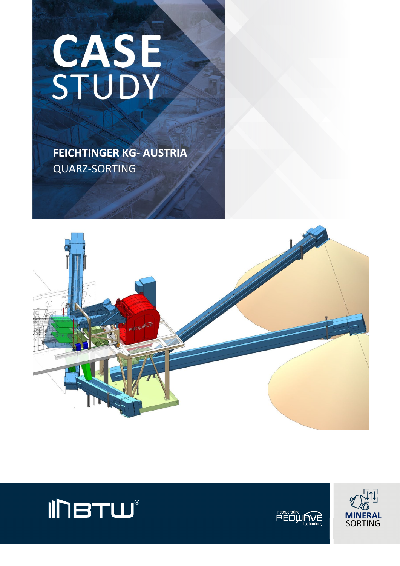# CASE

 **FEICHTINGER KG- AUSTRIA** QUARZ-SORTING







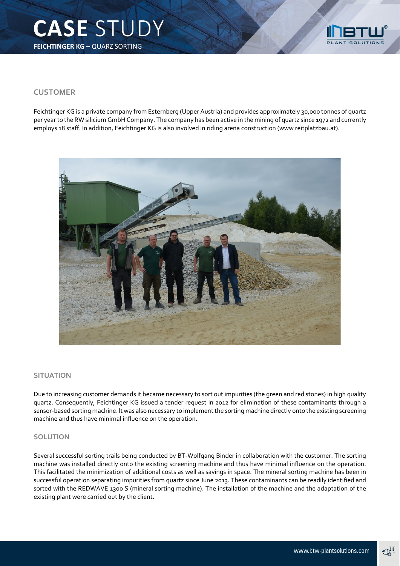

## **CUSTOMER**

Feichtinger KG is a private company from Esternberg (Upper Austria) and provides approximately 30,000 tonnes of quartz per year to the RW silicium GmbH Company. The company has been active in the mining of quartz since 1972 and currently employs 18 staff. In addition, Feichtinger KG is also involved in riding arena construction (www reitplatzbau.at).



### **SITUATION**

Due to increasing customer demands it became necessary to sort out impurities (the green and red stones) in high quality quartz. Consequently, Feichtinger KG issued a tender request in 2012 for elimination of these contaminants through a sensor-based sorting machine. lt was also necessary to implement the sorting machine directly onto the existing screening machine and thus have minimal influence on the operation.

### **SOLUTION**

Several successful sorting trails being conducted by BT-Wolfgang Binder in collaboration with the customer. The sorting machine was installed directly onto the existing screening machine and thus have minimal influence on the operation. This facilitated the minimization of additional costs as well as savings in space. The mineral sorting machine has been in successful operation separating impurities from quartz since June 2013. These contaminants can be readily identified and sorted with the REDWAVE 1300 S (mineral sorting machine). The installation of the machine and the adaptation of the existing plant were carried out by the client.